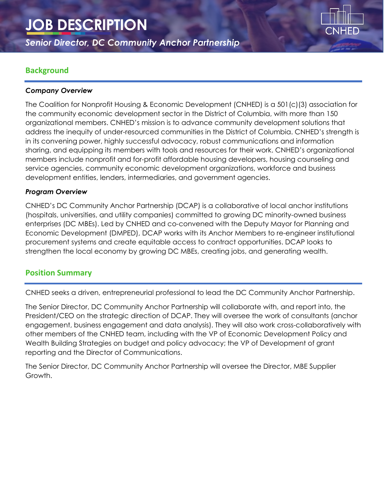# **JOB DESCRIPTION**

*Senior Director, DC Community Anchor Partnership* 

## **Background**

#### *Company Overview*

The Coalition for Nonprofit Housing & Economic Development (CNHED) is a 501(c)(3) association for the community economic development sector in the District of Columbia, with more than 150 organizational members. CNHED's mission is to advance community development solutions that address the inequity of under-resourced communities in the District of Columbia. CNHED's strength is in its convening power, highly successful advocacy, robust communications and information sharing, and equipping its members with tools and resources for their work. CNHED's organizational members include nonprofit and for-profit affordable housing developers, housing counseling and service agencies, community economic development organizations, workforce and business development entities, lenders, intermediaries, and government agencies.

#### *Program Overview*

CNHED's DC Community Anchor Partnership (DCAP) is a collaborative of local anchor institutions (hospitals, universities, and utility companies) committed to growing DC minority-owned business enterprises (DC MBEs). Led by CNHED and co-convened with the Deputy Mayor for Planning and Economic Development (DMPED), DCAP works with its Anchor Members to re-engineer institutional procurement systems and create equitable access to contract opportunities. DCAP looks to strengthen the local economy by growing DC MBEs, creating jobs, and generating wealth.

### **Position Summary**

CNHED seeks a driven, entrepreneurial professional to lead the DC Community Anchor Partnership.

The Senior Director, DC Community Anchor Partnership will collaborate with, and report into, the President/CEO on the strategic direction of DCAP. They will oversee the work of consultants (anchor engagement, business engagement and data analysis). They will also work cross-collaboratively with other members of the CNHED team, including with the VP of Economic Development Policy and Wealth Building Strategies on budget and policy advocacy; the VP of Development of grant reporting and the Director of Communications.

The Senior Director, DC Community Anchor Partnership will oversee the Director, MBE Supplier Growth.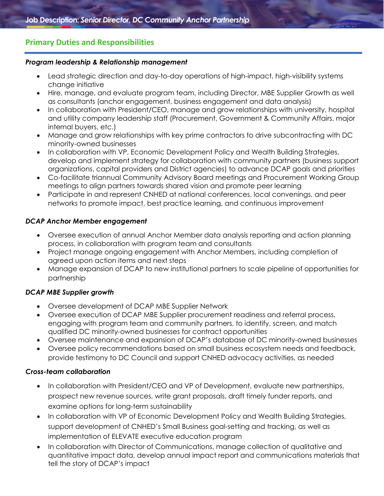## **Primary Duties and Responsibilities**

#### *Program leadership & Relationship management*

- Lead strategic direction and day-to-day operations of high-impact, high-visibility systems change initiative
- Hire, manage, and evaluate program team, including Director, MBE Supplier Growth as well as consultants (anchor engagement, business engagement and data analysis)
- In collaboration with President/CEO, manage and grow relationships with university, hospital and utility company leadership staff (Procurement, Government & Community Affairs, major internal buyers, etc.)
- Manage and grow relationships with key prime contractors to drive subcontracting with DC minority-owned businesses
- In collaboration with VP, Economic Development Policy and Wealth Building Strategies, develop and implement strategy for collaboration with community partners (business support organizations, capital providers and District agencies) to advance DCAP goals and priorities
- Co-facilitate triannual Community Advisory Board meetings and Procurement Working Group meetings to align partners towards shared vision and promote peer learning
- Participate in and represent CNHED at national conferences, local convenings, and peer networks to promote impact, best practice learning, and continuous improvement

#### *DCAP Anchor Member engagement*

- Oversee execution of annual Anchor Member data analysis reporting and action planning process, in collaboration with program team and consultants
- Project manage ongoing engagement with Anchor Members, including completion of agreed upon action items and next steps
- Manage expansion of DCAP to new institutional partners to scale pipeline of opportunities for partnership

#### *DCAP MBE Supplier growth*

- Oversee development of DCAP MBE Supplier Network
- Oversee execution of DCAP MBE Supplier procurement readiness and referral process, engaging with program team and community partners, to identify, screen, and match qualified DC minority-owned businesses for contract opportunities
- Oversee maintenance and expansion of DCAP's database of DC minority-owned businesses
- Oversee policy recommendations based on small business ecosystem needs and feedback, provide testimony to DC Council and support CNHED advocacy activities, as needed

#### *Cross-team collaboration*

- In collaboration with President/CEO and VP of Development, evaluate new partnerships, prospect new revenue sources, write grant proposals, draft timely funder reports, and examine options for long-term sustainability
- In collaboration with VP of Economic Development Policy and Wealth Building Strategies, support development of CNHED's Small Business goal-setting and tracking, as well as implementation of ELEVATE executive education program
- In collaboration with Director of Communications, manage collection of qualitative and quantitative impact data, develop annual impact report and communications materials that tell the story of DCAP's impact